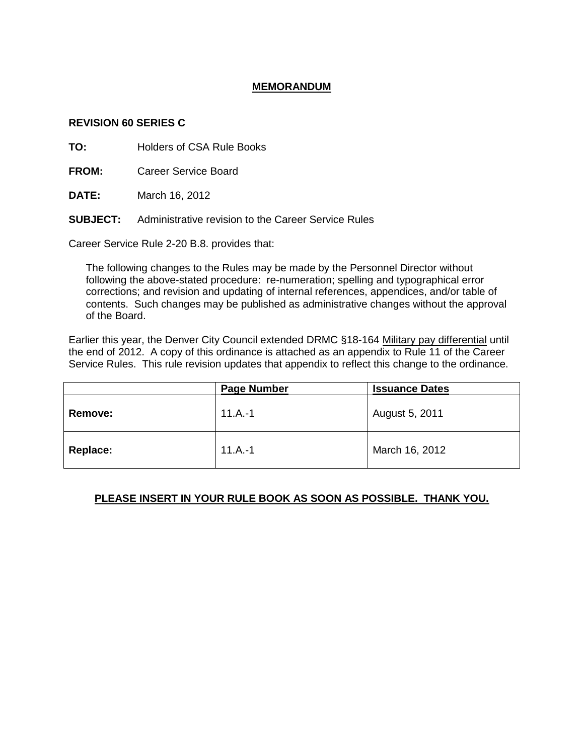## **MEMORANDUM**

## **REVISION 60 SERIES C**

**TO:** Holders of CSA Rule Books

**FROM:** Career Service Board

**DATE:** March 16, 2012

**SUBJECT:** Administrative revision to the Career Service Rules

Career Service Rule 2-20 B.8. provides that:

The following changes to the Rules may be made by the Personnel Director without following the above-stated procedure: re-numeration; spelling and typographical error corrections; and revision and updating of internal references, appendices, and/or table of contents. Such changes may be published as administrative changes without the approval of the Board.

Earlier this year, the Denver City Council extended DRMC §18-164 Military pay differential until the end of 2012. A copy of this ordinance is attached as an appendix to Rule 11 of the Career Service Rules. This rule revision updates that appendix to reflect this change to the ordinance.

|                | <b>Page Number</b> | <b>Issuance Dates</b> |
|----------------|--------------------|-----------------------|
| <b>Remove:</b> | $11.A.-1$          | August 5, 2011        |
| Replace:       | $11.A.-1$          | March 16, 2012        |

## **PLEASE INSERT IN YOUR RULE BOOK AS SOON AS POSSIBLE. THANK YOU.**